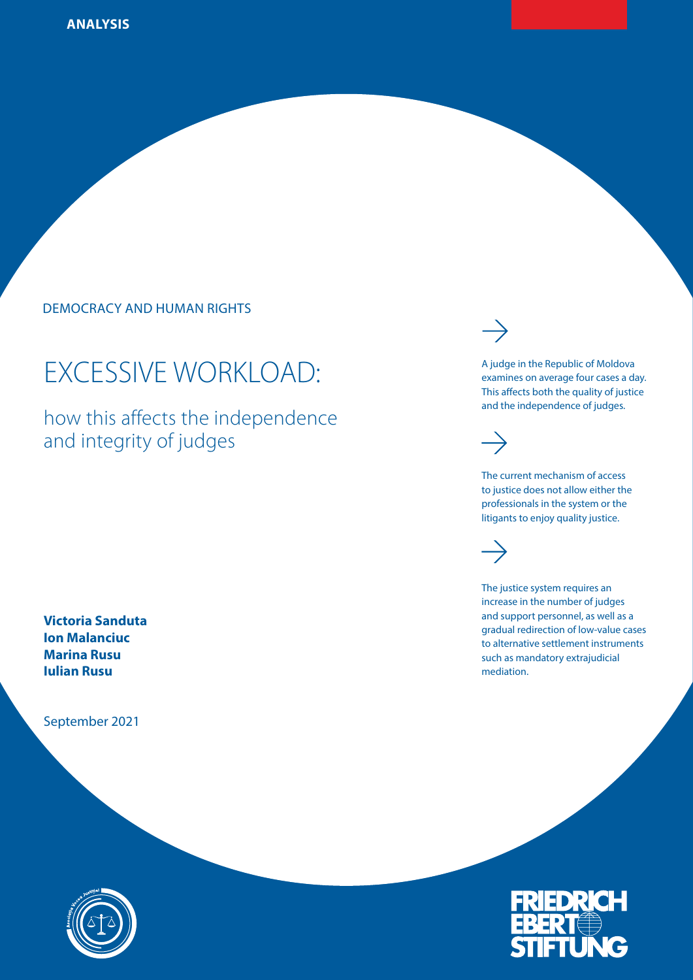DEMOCRACY AND HUMAN RIGHTS

# EXCESSIVE WORKLOAD:

how this affects the independence and integrity of judges

**Victoria Sanduta Ion Malanciuc Marina Rusu Iulian Rusu**

September 2021





A judge in the Republic of Moldova examines on average four cases a day. This affects both the quality of justice and the independence of judges.



The current mechanism of access to justice does not allow either the professionals in the system or the litigants to enjoy quality justice.



The justice system requires an increase in the number of judges and support personnel, as well as a gradual redirection of low-value cases to alternative settlement instruments such as mandatory extrajudicial mediation.

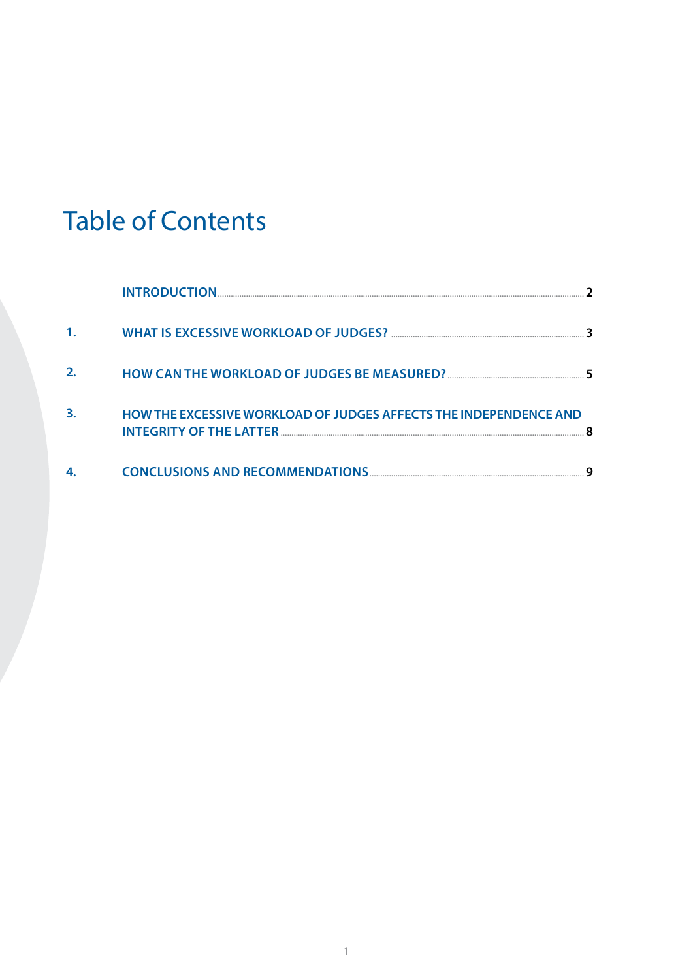# Table of Contents

|    | <b>INTRODUCTION.</b>                                              |  |
|----|-------------------------------------------------------------------|--|
|    |                                                                   |  |
| 2. |                                                                   |  |
| 3. | HOW THE EXCESSIVE WORKLOAD OF JUDGES AFFECTS THE INDEPENDENCE AND |  |
| 4. |                                                                   |  |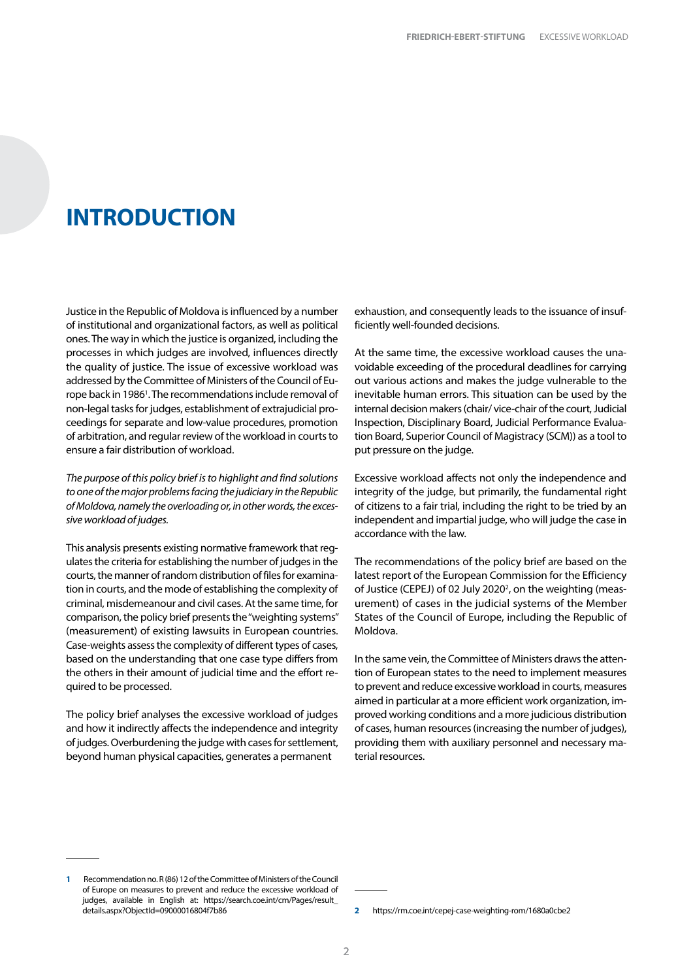### <span id="page-3-0"></span>**INTRODUCTION**

Justice in the Republic of Moldova is influenced by a number of institutional and organizational factors, as well as political ones. The way in which the justice is organized, including the processes in which judges are involved, influences directly the quality of justice. The issue of excessive workload was addressed by the Committee of Ministers of the Council of Europe back in 1986<sup>1</sup>. The recommendations include removal of non-legal tasks for judges, establishment of extrajudicial proceedings for separate and low-value procedures, promotion of arbitration, and regular review of the workload in courts to ensure a fair distribution of workload.

*The purpose of this policy brief is to highlight and find solutions to one of the major problems facing the judiciary in the Republic of Moldova, namely the overloading or, in other words, the excessive workload of judges.*

This analysis presents existing normative framework that regulates the criteria for establishing the number of judges in the courts, the manner of random distribution of files for examination in courts, and the mode of establishing the complexity of criminal, misdemeanour and civil cases. At the same time, for comparison, the policy brief presents the "weighting systems" (measurement) of existing lawsuits in European countries. Case-weights assess the complexity of different types of cases, based on the understanding that one case type differs from the others in their amount of judicial time and the effort required to be processed.

The policy brief analyses the excessive workload of judges and how it indirectly affects the independence and integrity of judges. Overburdening the judge with cases for settlement, beyond human physical capacities, generates a permanent

exhaustion, and consequently leads to the issuance of insufficiently well-founded decisions.

At the same time, the excessive workload causes the unavoidable exceeding of the procedural deadlines for carrying out various actions and makes the judge vulnerable to the inevitable human errors. This situation can be used by the internal decision makers (chair/ vice-chair of the court, Judicial Inspection, Disciplinary Board, Judicial Performance Evaluation Board, Superior Council of Magistracy (SCM)) as a tool to put pressure on the judge.

Excessive workload affects not only the independence and integrity of the judge, but primarily, the fundamental right of citizens to a fair trial, including the right to be tried by an independent and impartial judge, who will judge the case in accordance with the law.

The recommendations of the policy brief are based on the latest report of the European Commission for the Efficiency of Justice (CEPEJ) of 02 July 2020<sup>2</sup>, on the weighting (measurement) of cases in the judicial systems of the Member States of the Council of Europe, including the Republic of Moldova.

In the same vein, the Committee of Ministers draws the attention of European states to the need to implement measures to prevent and reduce excessive workload in courts, measures aimed in particular at a more efficient work organization, improved working conditions and a more judicious distribution of cases, human resources (increasing the number of judges), providing them with auxiliary personnel and necessary material resources.

**<sup>1</sup>** Recommendation no. R (86) 12 of the Committee of Ministers of the Council of Europe on measures to prevent and reduce the excessive workload of judges, available in English at: [https://search.coe.int/cm/Pages/result\\_](https://search.coe.int/cm/Pages/result_details.aspx?ObjectId=09000016804f7b86) [details.aspx?ObjectId=09000016804f7b86](https://search.coe.int/cm/Pages/result_details.aspx?ObjectId=09000016804f7b86)

**<sup>2</sup>** <https://rm.coe.int/cepej-case-weighting-rom/1680a0cbe2>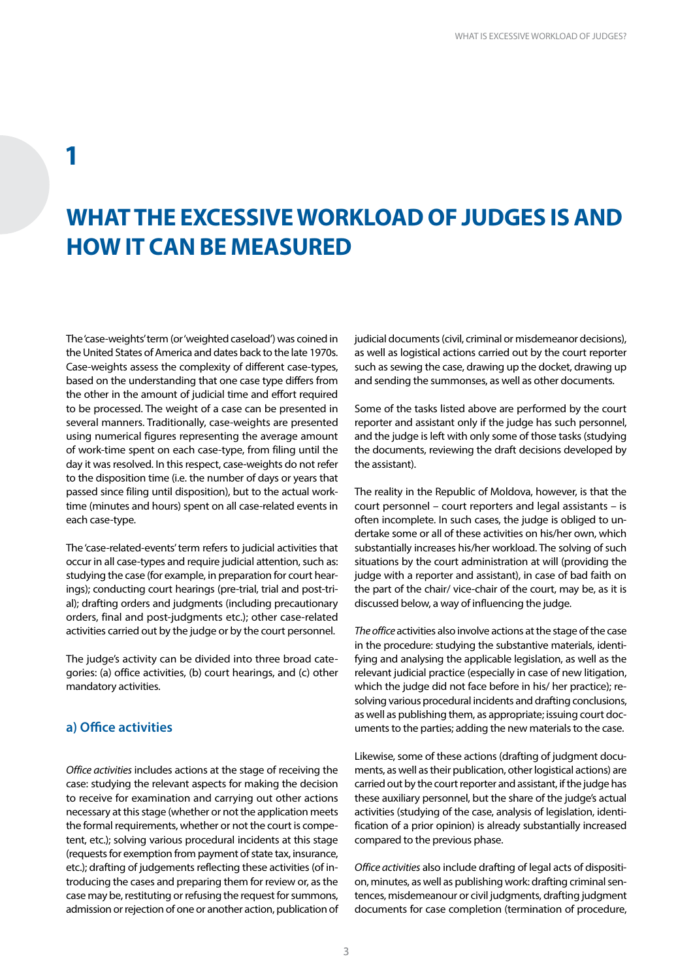### <span id="page-4-0"></span>**1**

## **WHAT THE EXCESSIVE WORKLOAD OF JUDGES IS AND HOW IT CAN BE MEASURED**

The 'case-weights' term (or 'weighted caseload') was coined in the United States of America and dates back to the late 1970s. Case-weights assess the complexity of different case-types, based on the understanding that one case type differs from the other in the amount of judicial time and effort required to be processed. The weight of a case can be presented in several manners. Traditionally, case-weights are presented using numerical figures representing the average amount of work-time spent on each case-type, from filing until the day it was resolved. In this respect, case-weights do not refer to the disposition time (i.e. the number of days or years that passed since filing until disposition), but to the actual worktime (minutes and hours) spent on all case-related events in each case-type.

The 'case-related-events' term refers to judicial activities that occur in all case-types and require judicial attention, such as: studying the case (for example, in preparation for court hearings); conducting court hearings (pre-trial, trial and post-trial); drafting orders and judgments (including precautionary orders, final and post-judgments etc.); other case-related activities carried out by the judge or by the court personnel.

The judge's activity can be divided into three broad categories: (a) office activities, (b) court hearings, and (c) other mandatory activities.

#### **a) Office activities**

*Office activities* includes actions at the stage of receiving the case: studying the relevant aspects for making the decision to receive for examination and carrying out other actions necessary at this stage (whether or not the application meets the formal requirements, whether or not the court is competent, etc.); solving various procedural incidents at this stage (requests for exemption from payment of state tax, insurance, etc.); drafting of judgements reflecting these activities (of introducing the cases and preparing them for review or, as the case may be, restituting or refusing the request for summons, admission or rejection of one or another action, publication of judicial documents (civil, criminal or misdemeanor decisions), as well as logistical actions carried out by the court reporter such as sewing the case, drawing up the docket, drawing up and sending the summonses, as well as other documents.

Some of the tasks listed above are performed by the court reporter and assistant only if the judge has such personnel, and the judge is left with only some of those tasks (studying the documents, reviewing the draft decisions developed by the assistant).

The reality in the Republic of Moldova, however, is that the court personnel – court reporters and legal assistants – is often incomplete. In such cases, the judge is obliged to undertake some or all of these activities on his/her own, which substantially increases his/her workload. The solving of such situations by the court administration at will (providing the judge with a reporter and assistant), in case of bad faith on the part of the chair/ vice-chair of the court, may be, as it is discussed below, a way of influencing the judge.

*The office* activities also involve actions at the stage of the case in the procedure: studying the substantive materials, identifying and analysing the applicable legislation, as well as the relevant judicial practice (especially in case of new litigation, which the judge did not face before in his/ her practice); resolving various procedural incidents and drafting conclusions, as well as publishing them, as appropriate; issuing court documents to the parties; adding the new materials to the case.

Likewise, some of these actions (drafting of judgment documents, as well as their publication, other logistical actions) are carried out by the court reporter and assistant, if the judge has these auxiliary personnel, but the share of the judge's actual activities (studying of the case, analysis of legislation, identification of a prior opinion) is already substantially increased compared to the previous phase.

*Office activities* also include drafting of legal acts of disposition, minutes, as well as publishing work: drafting criminal sentences, misdemeanour or civil judgments, drafting judgment documents for case completion (termination of procedure,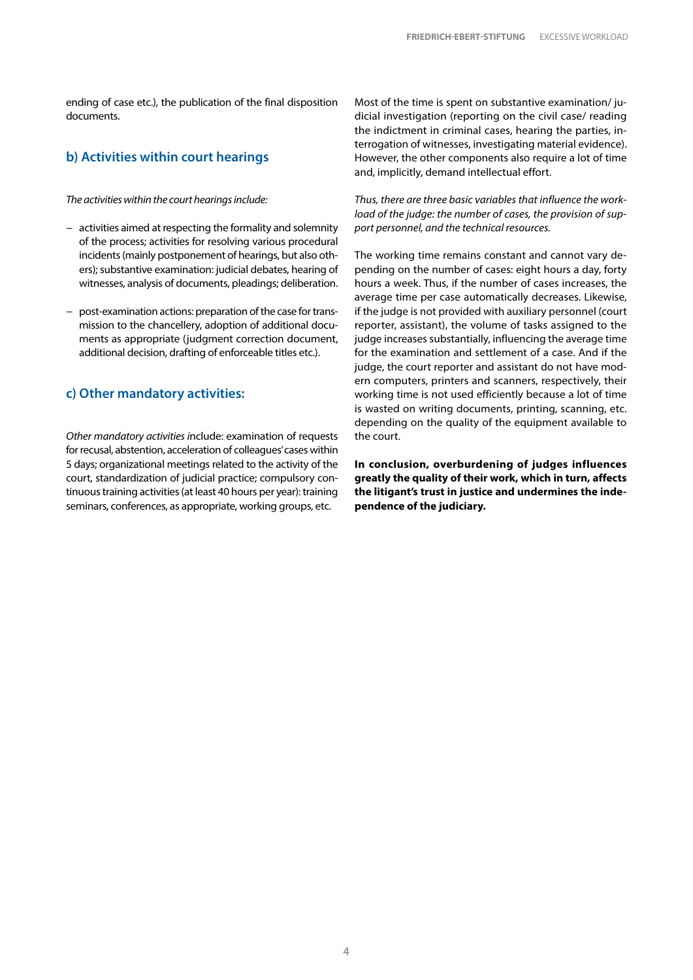ending of case etc.), the publication of the final disposition documents.

### **b) Activities within court hearings**

#### *The activities within the court hearings include:*

- − activities aimed at respecting the formality and solemnity of the process; activities for resolving various procedural incidents (mainly postponement of hearings, but also others); substantive examination: judicial debates, hearing of witnesses, analysis of documents, pleadings; deliberation.
- − post-examination actions: preparation of the case for transmission to the chancellery, adoption of additional documents as appropriate (judgment correction document, additional decision, drafting of enforceable titles etc.).

#### **c) Other mandatory activities:**

*Other mandatory activities i*nclude: examination of requests for recusal, abstention, acceleration of colleagues' cases within 5 days; organizational meetings related to the activity of the court, standardization of judicial practice; compulsory continuous training activities (at least 40 hours per year): training seminars, conferences, as appropriate, working groups, etc.

Most of the time is spent on substantive examination/ judicial investigation (reporting on the civil case/ reading the indictment in criminal cases, hearing the parties, interrogation of witnesses, investigating material evidence). However, the other components also require a lot of time and, implicitly, demand intellectual effort.

*Thus, there are three basic variables that influence the workload of the judge: the number of cases, the provision of support personnel, and the technical resources.* 

The working time remains constant and cannot vary depending on the number of cases: eight hours a day, forty hours a week. Thus, if the number of cases increases, the average time per case automatically decreases. Likewise, if the judge is not provided with auxiliary personnel (court reporter, assistant), the volume of tasks assigned to the judge increases substantially, influencing the average time for the examination and settlement of a case. And if the judge, the court reporter and assistant do not have modern computers, printers and scanners, respectively, their working time is not used efficiently because a lot of time is wasted on writing documents, printing, scanning, etc. depending on the quality of the equipment available to the court.

**In conclusion, overburdening of judges influences greatly the quality of their work, which in turn, affects the litigant's trust in justice and undermines the independence of the judiciary.**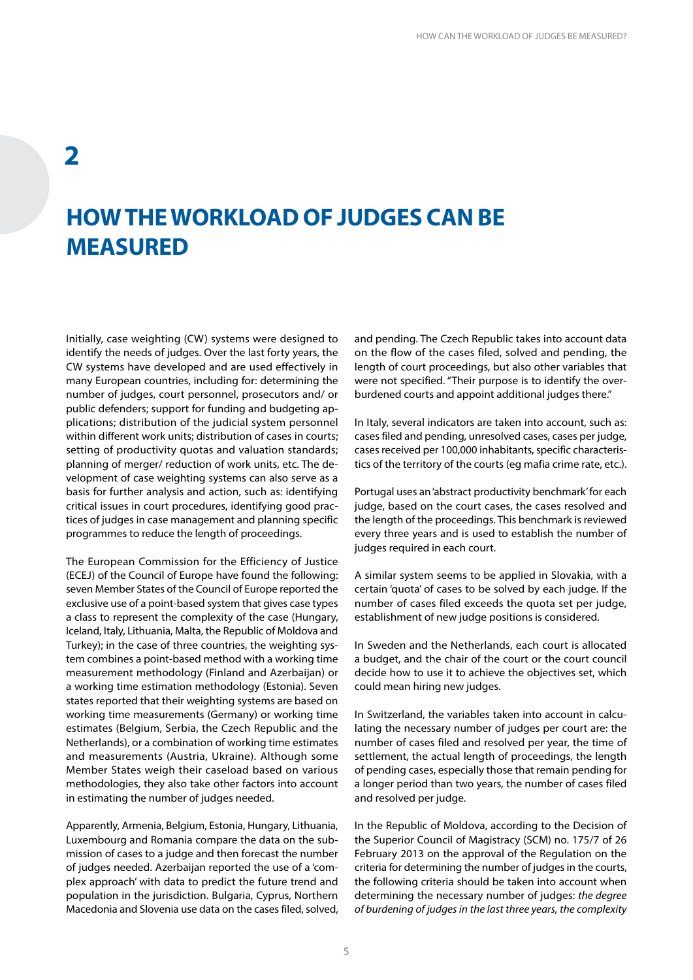### <span id="page-6-0"></span>**2**

## **HOW THE WORKLOAD OF JUDGES CAN BE MEASURED**

Initially, case weighting (CW) systems were designed to identify the needs of judges. Over the last forty years, the CW systems have developed and are used effectively in many European countries, including for: determining the number of judges, court personnel, prosecutors and/ or public defenders; support for funding and budgeting applications; distribution of the judicial system personnel within different work units; distribution of cases in courts; setting of productivity quotas and valuation standards; planning of merger/ reduction of work units, etc. The development of case weighting systems can also serve as a basis for further analysis and action, such as: identifying critical issues in court procedures, identifying good practices of judges in case management and planning specific programmes to reduce the length of proceedings.

The European Commission for the Efficiency of Justice (ECEJ) of the Council of Europe have found the following: seven Member States of the Council of Europe reported the exclusive use of a point-based system that gives case types a class to represent the complexity of the case (Hungary, Iceland, Italy, Lithuania, Malta, the Republic of Moldova and Turkey); in the case of three countries, the weighting system combines a point-based method with a working time measurement methodology (Finland and Azerbaijan) or a working time estimation methodology (Estonia). Seven states reported that their weighting systems are based on working time measurements (Germany) or working time estimates (Belgium, Serbia, the Czech Republic and the Netherlands), or a combination of working time estimates and measurements (Austria, Ukraine). Although some Member States weigh their caseload based on various methodologies, they also take other factors into account in estimating the number of judges needed.

Apparently, Armenia, Belgium, Estonia, Hungary, Lithuania, Luxembourg and Romania compare the data on the submission of cases to a judge and then forecast the number of judges needed. Azerbaijan reported the use of a 'complex approach' with data to predict the future trend and population in the jurisdiction. Bulgaria, Cyprus, Northern Macedonia and Slovenia use data on the cases filed, solved,

and pending. The Czech Republic takes into account data on the flow of the cases filed, solved and pending, the length of court proceedings, but also other variables that were not specified. "Their purpose is to identify the overburdened courts and appoint additional judges there."

In Italy, several indicators are taken into account, such as: cases filed and pending, unresolved cases, cases per judge, cases received per 100,000 inhabitants, specific characteristics of the territory of the courts (eg mafia crime rate, etc.).

Portugal uses an 'abstract productivity benchmark' for each judge, based on the court cases, the cases resolved and the length of the proceedings. This benchmark is reviewed every three years and is used to establish the number of judges required in each court.

A similar system seems to be applied in Slovakia, with a certain 'quota' of cases to be solved by each judge. If the number of cases filed exceeds the quota set per judge, establishment of new judge positions is considered.

In Sweden and the Netherlands, each court is allocated a budget, and the chair of the court or the court council decide how to use it to achieve the objectives set, which could mean hiring new judges.

In Switzerland, the variables taken into account in calculating the necessary number of judges per court are: the number of cases filed and resolved per year, the time of settlement, the actual length of proceedings, the length of pending cases, especially those that remain pending for a longer period than two years, the number of cases filed and resolved per judge.

In the Republic of Moldova, according to the Decision of the Superior Council of Magistracy (SCM) no. 175/7 of 26 February 2013 on the approval of the Regulation on the criteria for determining the number of judges in the courts, the following criteria should be taken into account when determining the necessary number of judges: *the degree of burdening of judges in the last three years, the complexity*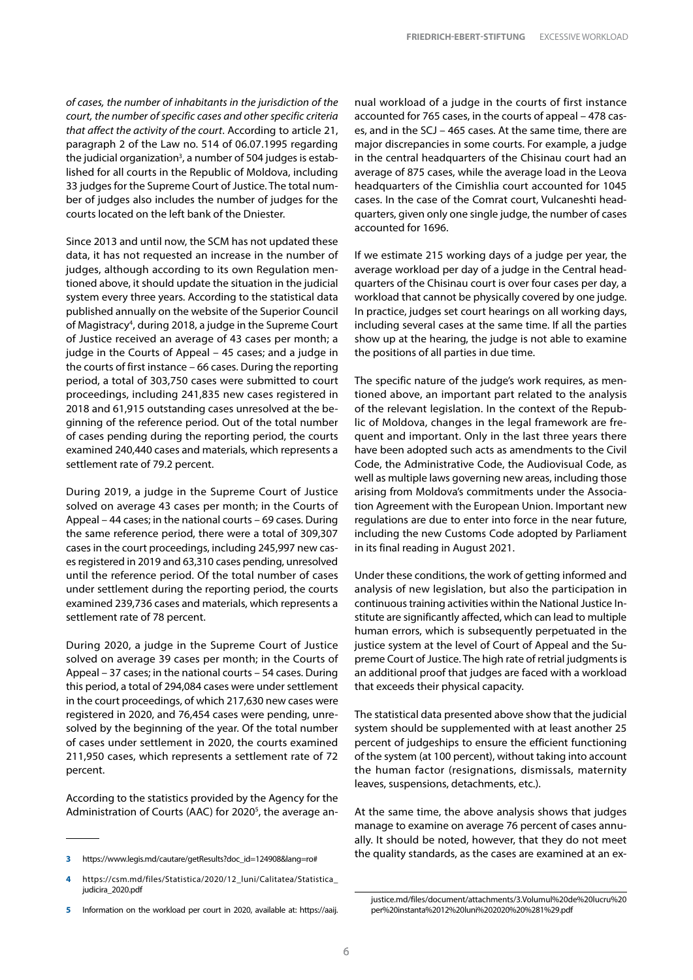*of cases, the number of inhabitants in the jurisdiction of the court, the number of specific cases and other specific criteria that affect the activity of the court*. According to article 21, paragraph 2 of the Law no. 514 of 06.07.1995 regarding the judicial organization<sup>3</sup>, a number of 504 judges is established for all courts in the Republic of Moldova, including 33 judges for the Supreme Court of Justice. The total number of judges also includes the number of judges for the courts located on the left bank of the Dniester.

Since 2013 and until now, the SCM has not updated these data, it has not requested an increase in the number of judges, although according to its own Regulation mentioned above, it should update the situation in the judicial system every three years. According to the statistical data published annually on the website of the Superior Council of Magistracy<sup>4</sup>, during 2018, a judge in the Supreme Court of Justice received an average of 43 cases per month; a judge in the Courts of Appeal – 45 cases; and a judge in the courts of first instance – 66 cases. During the reporting period, a total of 303,750 cases were submitted to court proceedings, including 241,835 new cases registered in 2018 and 61,915 outstanding cases unresolved at the beginning of the reference period. Out of the total number of cases pending during the reporting period, the courts examined 240,440 cases and materials, which represents a settlement rate of 79.2 percent.

During 2019, a judge in the Supreme Court of Justice solved on average 43 cases per month; in the Courts of Appeal – 44 cases; in the national courts – 69 cases. During the same reference period, there were a total of 309,307 cases in the court proceedings, including 245,997 new cases registered in 2019 and 63,310 cases pending, unresolved until the reference period. Of the total number of cases under settlement during the reporting period, the courts examined 239,736 cases and materials, which represents a settlement rate of 78 percent.

During 2020, a judge in the Supreme Court of Justice solved on average 39 cases per month; in the Courts of Appeal – 37 cases; in the national courts – 54 cases. During this period, a total of 294,084 cases were under settlement in the court proceedings, of which 217,630 new cases were registered in 2020, and 76,454 cases were pending, unresolved by the beginning of the year. Of the total number of cases under settlement in 2020, the courts examined 211,950 cases, which represents a settlement rate of 72 percent.

According to the statistics provided by the Agency for the Administration of Courts (AAC) for 2020<sup>5</sup>, the average an-

nual workload of a judge in the courts of first instance accounted for 765 cases, in the courts of appeal – 478 cases, and in the SCJ – 465 cases. At the same time, there are major discrepancies in some courts. For example, a judge in the central headquarters of the Chisinau court had an average of 875 cases, while the average load in the Leova headquarters of the Cimishlia court accounted for 1045 cases. In the case of the Comrat court, Vulcaneshti headquarters, given only one single judge, the number of cases accounted for 1696.

If we estimate 215 working days of a judge per year, the average workload per day of a judge in the Central headquarters of the Chisinau court is over four cases per day, a workload that cannot be physically covered by one judge. In practice, judges set court hearings on all working days, including several cases at the same time. If all the parties show up at the hearing, the judge is not able to examine the positions of all parties in due time.

The specific nature of the judge's work requires, as mentioned above, an important part related to the analysis of the relevant legislation. In the context of the Republic of Moldova, changes in the legal framework are frequent and important. Only in the last three years there have been adopted such acts as amendments to the Civil Code, the Administrative Code, the Audiovisual Code, as well as multiple laws governing new areas, including those arising from Moldova's commitments under the Association Agreement with the European Union. Important new regulations are due to enter into force in the near future, including the new Customs Code adopted by Parliament in its final reading in August 2021.

Under these conditions, the work of getting informed and analysis of new legislation, but also the participation in continuous training activities within the National Justice Institute are significantly affected, which can lead to multiple human errors, which is subsequently perpetuated in the justice system at the level of Court of Appeal and the Supreme Court of Justice. The high rate of retrial judgments is an additional proof that judges are faced with a workload that exceeds their physical capacity.

The statistical data presented above show that the judicial system should be supplemented with at least another 25 percent of judgeships to ensure the efficient functioning of the system (at 100 percent), without taking into account the human factor (resignations, dismissals, maternity leaves, suspensions, detachments, etc.).

At the same time, the above analysis shows that judges manage to examine on average 76 percent of cases annually. It should be noted, however, that they do not meet the quality standards, as the cases are examined at an ex-

**<sup>3</sup>** [https://www.legis.md/cautare/getResults?doc\\_id=124908&lang=ro#](https://www.legis.md/cautare/getResults?doc_id=124908&lang=ro)

**<sup>4</sup>** [https://csm.md/files/Statistica/2020/12\\_luni/Calitatea/Statistica\\_](https://csm.md/files/Statistica/2020/12_luni/Calitatea/Statistica_judicira_2020.pdf) [judicira\\_2020.pdf](https://csm.md/files/Statistica/2020/12_luni/Calitatea/Statistica_judicira_2020.pdf)

**<sup>5</sup>** Information on the workload per court in 2020, available at: [https://aaij.](https://aaij.justice.md/files/document/attachments/3.Volumul%20de%20lucru%20per%20instanta%2012%20luni%202020%20%281%29.pdf)

[justice.md/files/document/attachments/3.Volumul%20de%20lucru%20](https://aaij.justice.md/files/document/attachments/3.Volumul%20de%20lucru%20per%20instanta%2012%20luni%202020%20%281%29.pdf) [per%20instanta%2012%20luni%202020%20%281%29.pdf](https://aaij.justice.md/files/document/attachments/3.Volumul%20de%20lucru%20per%20instanta%2012%20luni%202020%20%281%29.pdf)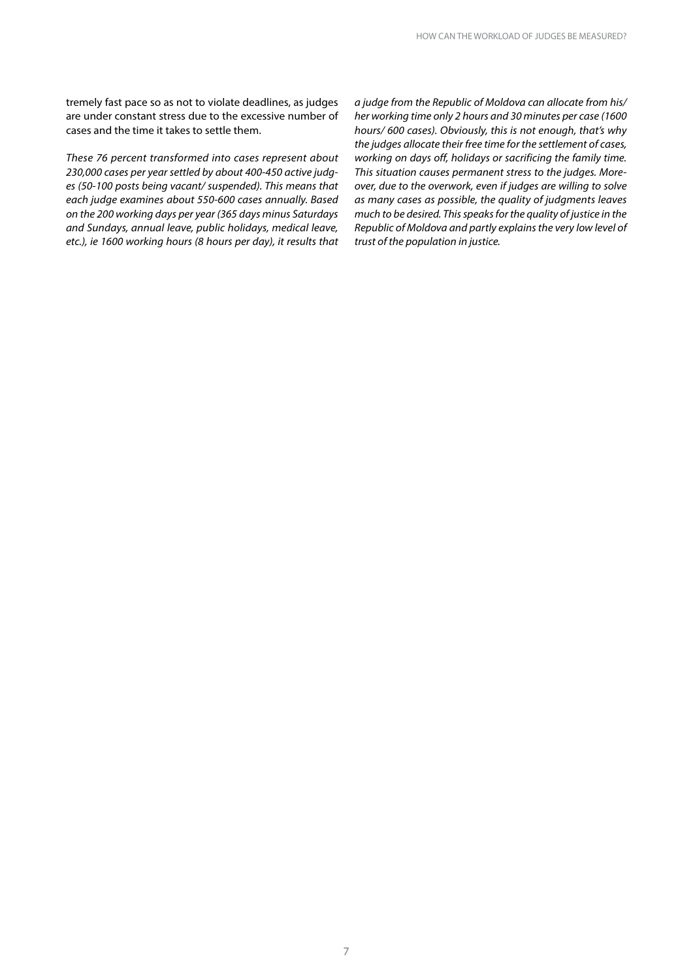tremely fast pace so as not to violate deadlines, as judges are under constant stress due to the excessive number of cases and the time it takes to settle them.

*These 76 percent transformed into cases represent about 230,000 cases per year settled by about 400-450 active judges (50-100 posts being vacant/ suspended). This means that each judge examines about 550-600 cases annually. Based on the 200 working days per year (365 days minus Saturdays and Sundays, annual leave, public holidays, medical leave, etc.), ie 1600 working hours (8 hours per day), it results that* 

*a judge from the Republic of Moldova can allocate from his/ her working time only 2 hours and 30 minutes per case (1600 hours/ 600 cases). Obviously, this is not enough, that's why the judges allocate their free time for the settlement of cases, working on days off, holidays or sacrificing the family time. This situation causes permanent stress to the judges. Moreover, due to the overwork, even if judges are willing to solve as many cases as possible, the quality of judgments leaves much to be desired. This speaks for the quality of justice in the Republic of Moldova and partly explains the very low level of trust of the population in justice.*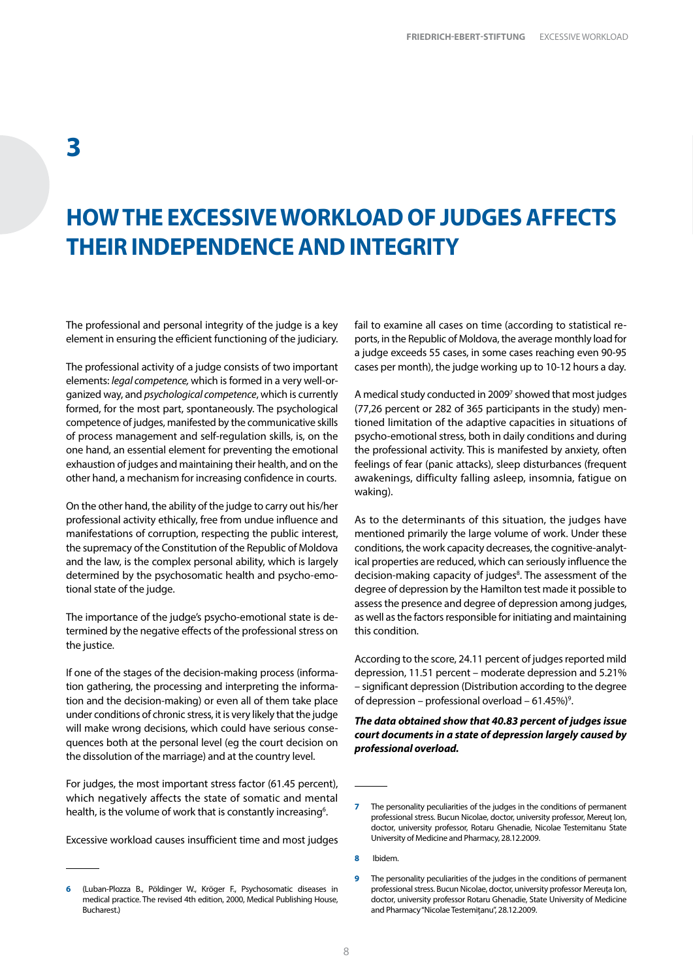### <span id="page-9-0"></span>**HOW THE EXCESSIVE WORKLOAD OF JUDGES AFFECTS THEIR INDEPENDENCE AND INTEGRITY**

The professional and personal integrity of the judge is a key element in ensuring the efficient functioning of the judiciary.

The professional activity of a judge consists of two important elements: *legal competence,* which is formed in a very well-organized way, and *psychological competence*, which is currently formed, for the most part, spontaneously. The psychological competence of judges, manifested by the communicative skills of process management and self-regulation skills, is, on the one hand, an essential element for preventing the emotional exhaustion of judges and maintaining their health, and on the other hand, a mechanism for increasing confidence in courts.

On the other hand, the ability of the judge to carry out his/her professional activity ethically, free from undue influence and manifestations of corruption, respecting the public interest, the supremacy of the Constitution of the Republic of Moldova and the law, is the complex personal ability, which is largely determined by the psychosomatic health and psycho-emotional state of the judge.

The importance of the judge's psycho-emotional state is determined by the negative effects of the professional stress on the justice.

If one of the stages of the decision-making process (information gathering, the processing and interpreting the information and the decision-making) or even all of them take place under conditions of chronic stress, it is very likely that the judge will make wrong decisions, which could have serious consequences both at the personal level (eg the court decision on the dissolution of the marriage) and at the country level.

For judges, the most important stress factor (61.45 percent), which negatively affects the state of somatic and mental health, is the volume of work that is constantly increasing<sup>6</sup>.

Excessive workload causes insufficient time and most judges

fail to examine all cases on time (according to statistical reports, in the Republic of Moldova, the average monthly load for a judge exceeds 55 cases, in some cases reaching even 90-95 cases per month), the judge working up to 10-12 hours a day.

A medical study conducted in 2009<sup>7</sup> showed that most judges (77,26 percent or 282 of 365 participants in the study) mentioned limitation of the adaptive capacities in situations of psycho-emotional stress, both in daily conditions and during the professional activity. This is manifested by anxiety, often feelings of fear (panic attacks), sleep disturbances (frequent awakenings, difficulty falling asleep, insomnia, fatigue on waking).

As to the determinants of this situation, the judges have mentioned primarily the large volume of work. Under these conditions, the work capacity decreases, the cognitive-analytical properties are reduced, which can seriously influence the decision-making capacity of judges<sup>8</sup>. The assessment of the degree of depression by the Hamilton test made it possible to assess the presence and degree of depression among judges, as well as the factors responsible for initiating and maintaining this condition.

According to the score, 24.11 percent of judges reported mild depression, 11.51 percent – moderate depression and 5.21% – significant depression (Distribution according to the degree of depression – professional overload – 61.45%)<sup>9</sup>.

#### *The data obtained show that 40.83 percent of judges issue court documents in a state of depression largely caused by professional overload.*

**<sup>6</sup>** (Luban-Plozza B., Pöldinger W., Kröger F., Psychosomatic diseases in medical practice. The revised 4th edition, 2000, Medical Publishing House, Bucharest.)

**<sup>7</sup>** The personality peculiarities of the judges in the conditions of permanent professional stress. Bucun Nicolae, doctor, university professor, Mereuț Ion, doctor, university professor, Rotaru Ghenadie, Nicolae Testemitanu State University of Medicine and Pharmacy, 28.12.2009.

**<sup>8</sup>** Ibidem.

**<sup>9</sup>** The personality peculiarities of the judges in the conditions of permanent professional stress. Bucun Nicolae, doctor, university professor Mereuța Ion, doctor, university professor Rotaru Ghenadie, State University of Medicine and Pharmacy "Nicolae Testemițanu", 28.12.2009.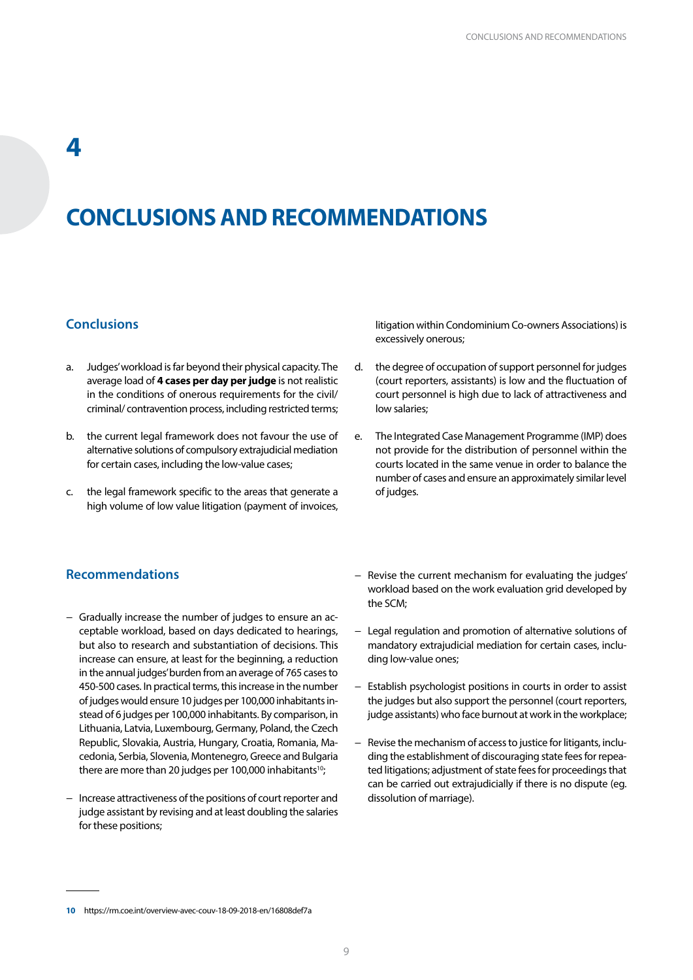### <span id="page-10-0"></span>**CONCLUSIONS AND RECOMMENDATIONS**

### **Conclusions**

- a. Judges' workload is far beyond their physical capacity. The average load of **4 cases per day per judge** is not realistic in the conditions of onerous requirements for the civil/ criminal/ contravention process, including restricted terms;
- b. the current legal framework does not favour the use of alternative solutions of compulsory extrajudicial mediation for certain cases, including the low-value cases;
- c. the legal framework specific to the areas that generate a high volume of low value litigation (payment of invoices,

litigation within Condominium Co-owners Associations) is excessively onerous;

- d. the degree of occupation of support personnel for judges (court reporters, assistants) is low and the fluctuation of court personnel is high due to lack of attractiveness and low salaries;
- e. The Integrated Case Management Programme (IMP) does not provide for the distribution of personnel within the courts located in the same venue in order to balance the number of cases and ensure an approximately similar level of judges.

#### **Recommendations**

- − Gradually increase the number of judges to ensure an acceptable workload, based on days dedicated to hearings, but also to research and substantiation of decisions. This increase can ensure, at least for the beginning, a reduction in the annual judges' burden from an average of 765 cases to 450-500 cases. In practical terms, this increase in the number of judges would ensure 10 judges per 100,000 inhabitants instead of 6 judges per 100,000 inhabitants. By comparison, in Lithuania, Latvia, Luxembourg, Germany, Poland, the Czech Republic, Slovakia, Austria, Hungary, Croatia, Romania, Macedonia, Serbia, Slovenia, Montenegro, Greece and Bulgaria there are more than 20 judges per 100,000 inhabitants<sup>10</sup>;
- − Increase attractiveness of the positions of court reporter and judge assistant by revising and at least doubling the salaries for these positions;
- − Revise the current mechanism for evaluating the judges' workload based on the work evaluation grid developed by the SCM;
- − Legal regulation and promotion of alternative solutions of mandatory extrajudicial mediation for certain cases, including low-value ones;
- − Establish psychologist positions in courts in order to assist the judges but also support the personnel (court reporters, judge assistants) who face burnout at work in the workplace;
- − Revise the mechanism of access to justice for litigants, including the establishment of discouraging state fees for repeated litigations; adjustment of state fees for proceedings that can be carried out extrajudicially if there is no dispute (eg. dissolution of marriage).

**<sup>10</sup>** https://rm.coe.int/overview-avec-couv-18-09-2018-en/16808def7a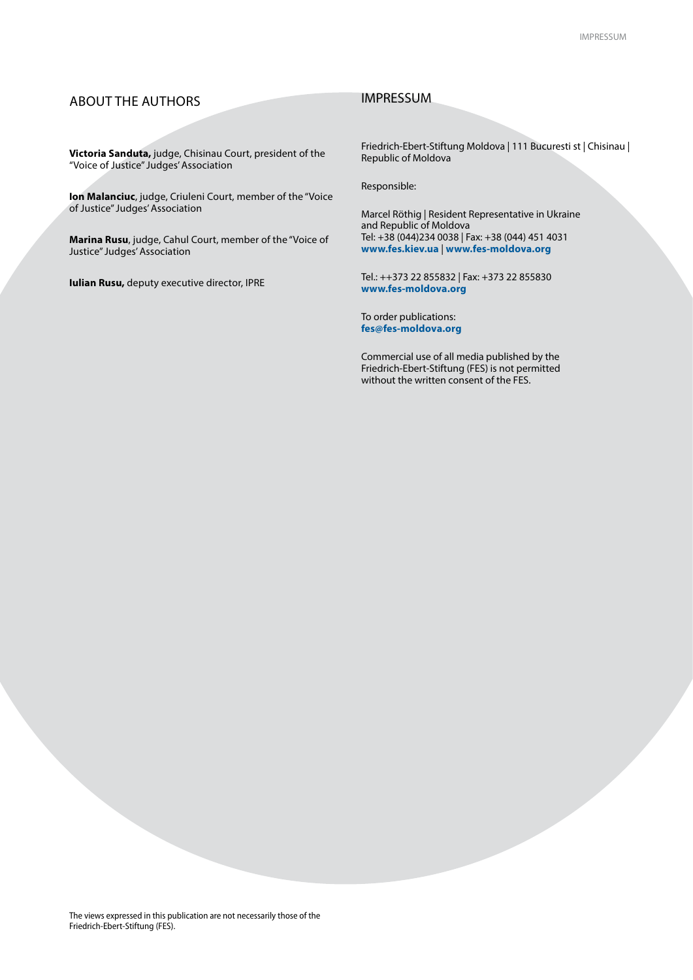### ABOUT THE AUTHORS

#### IMPRESSUM

**Victoria Sanduta,** judge, Chisinau Court, president of the "Voice of Justice" Judges' Association

**Ion Malanciuc**, judge, Criuleni Court, member of the "Voice of Justice" Judges' Association

**Marina Rusu**, judge, Cahul Court, member of the "Voice of Justice" Judges' Association

**Iulian Rusu,** deputy executive director, IPRE

Friedrich-Ebert-Stiftung Moldova | 111 Bucuresti st | Chisinau | Republic of Moldova

Responsible:

Marcel Röthig | Resident Representative in Ukraine and Republic of Moldova Tel: +38 (044)234 0038 | Fax: +38 (044) 451 4031 **www.fes.kiev.ua** | **www.fes-moldova.org**

Tel.: ++373 22 855832 | Fax: +373 22 855830 **www.fes-moldova.org**

To order publications: **fes@fes-moldova.org**

Commercial use of all media published by the Friedrich-Ebert-Stiftung (FES) is not permitted without the written consent of the FES.